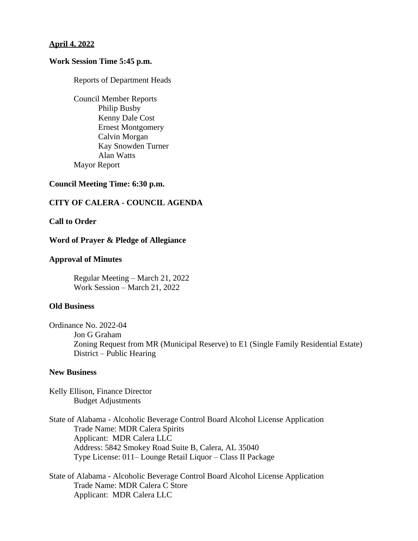### **April 4, 2022**

### **Work Session Time 5:45 p.m.**

Reports of Department Heads

Council Member Reports Philip Busby Kenny Dale Cost Ernest Montgomery Calvin Morgan Kay Snowden Turner Alan Watts Mayor Report

## **Council Meeting Time: 6:30 p.m.**

## **CITY OF CALERA - COUNCIL AGENDA**

## **Call to Order**

#### **Word of Prayer & Pledge of Allegiance**

#### **Approval of Minutes**

Regular Meeting – March 21, 2022 Work Session – March 21, 2022

### **Old Business**

Ordinance No. 2022-04 Jon G Graham Zoning Request from MR (Municipal Reserve) to E1 (Single Family Residential Estate) District – Public Hearing

### **New Business**

Kelly Ellison, Finance Director Budget Adjustments

State of Alabama - Alcoholic Beverage Control Board Alcohol License Application Trade Name: MDR Calera Spirits Applicant: MDR Calera LLC Address: 5842 Smokey Road Suite B, Calera, AL 35040 Type License: 011– Lounge Retail Liquor – Class II Package

State of Alabama - Alcoholic Beverage Control Board Alcohol License Application Trade Name: MDR Calera C Store Applicant: MDR Calera LLC